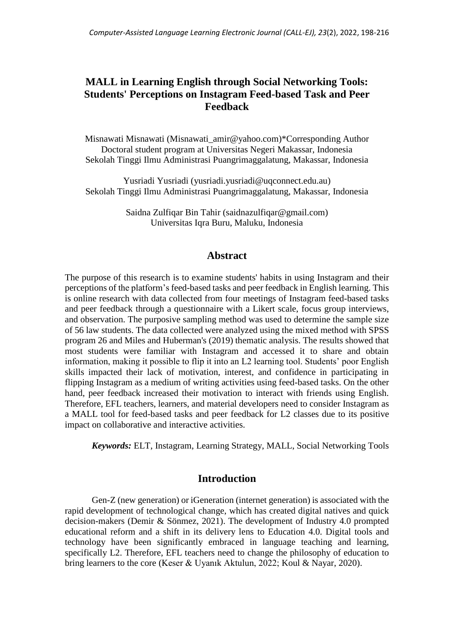# **MALL in Learning English through Social Networking Tools: Students' Perceptions on Instagram Feed-based Task and Peer Feedback**

Misnawati Misnawati [\(Misnawati\\_amir@yahoo.com\)](mailto:Misnawati_amir@yahoo.com)\*Corresponding Author Doctoral student program at Universitas Negeri Makassar, Indonesia Sekolah Tinggi Ilmu Administrasi Puangrimaggalatung, Makassar, Indonesia

Yusriadi Yusriadi [\(yusriadi.yusriadi@uqconnect.edu.au\)](mailto:yusriadi.yusriadi@uqconnect.edu.au) Sekolah Tinggi Ilmu Administrasi Puangrimaggalatung, Makassar, Indonesia

> Saidna Zulfiqar Bin Tahir [\(saidnazulfiqar@gmail.com\)](mailto:saidnazulfiqar@gmail.com) Universitas Iqra Buru, Maluku, Indonesia

## **Abstract**

The purpose of this research is to examine students' habits in using Instagram and their perceptions of the platform's feed-based tasks and peer feedback in English learning. This is online research with data collected from four meetings of Instagram feed-based tasks and peer feedback through a questionnaire with a Likert scale, focus group interviews, and observation. The purposive sampling method was used to determine the sample size of 56 law students. The data collected were analyzed using the mixed method with SPSS program 26 and Miles and Huberman's (2019) thematic analysis. The results showed that most students were familiar with Instagram and accessed it to share and obtain information, making it possible to flip it into an L2 learning tool. Students' poor English skills impacted their lack of motivation, interest, and confidence in participating in flipping Instagram as a medium of writing activities using feed-based tasks. On the other hand, peer feedback increased their motivation to interact with friends using English. Therefore, EFL teachers, learners, and material developers need to consider Instagram as a MALL tool for feed-based tasks and peer feedback for L2 classes due to its positive impact on collaborative and interactive activities.

*Keywords:* ELT, Instagram, Learning Strategy, MALL, Social Networking Tools

## **Introduction**

Gen-Z (new generation) or iGeneration (internet generation) is associated with the rapid development of technological change, which has created digital natives and quick decision-makers (Demir & Sönmez, 2021). The development of Industry 4.0 prompted educational reform and a shift in its delivery lens to Education 4.0. Digital tools and technology have been significantly embraced in language teaching and learning, specifically L2. Therefore, EFL teachers need to change the philosophy of education to bring learners to the core (Keser & Uyanık Aktulun, 2022; Koul & Nayar, 2020).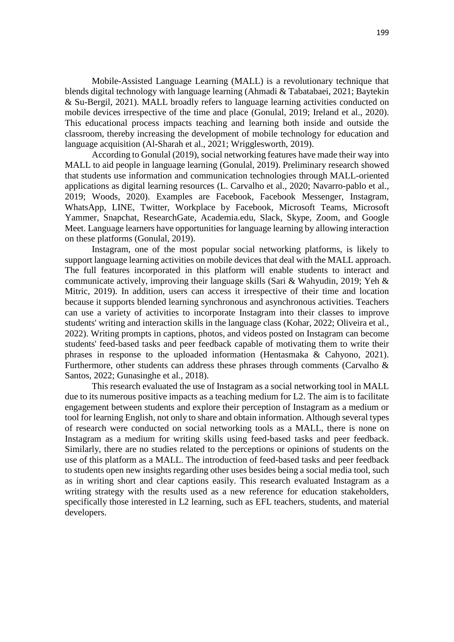Mobile-Assisted Language Learning (MALL) is a revolutionary technique that blends digital technology with language learning (Ahmadi & Tabatabaei, 2021; Baytekin & Su-Bergil, 2021). MALL broadly refers to language learning activities conducted on mobile devices irrespective of the time and place (Gonulal, 2019; Ireland et al., 2020). This educational process impacts teaching and learning both inside and outside the classroom, thereby increasing the development of mobile technology for education and language acquisition (Al-Sharah et al., 2021; Wrigglesworth, 2019).

According to Gonulal (2019), social networking features have made their way into MALL to aid people in language learning (Gonulal, 2019). Preliminary research showed that students use information and communication technologies through MALL-oriented applications as digital learning resources (L. Carvalho et al., 2020; Navarro-pablo et al., 2019; Woods, 2020). Examples are Facebook, Facebook Messenger, Instagram, WhatsApp, LINE, Twitter, Workplace by Facebook, Microsoft Teams, Microsoft Yammer, Snapchat, ResearchGate, Academia.edu, Slack, Skype, Zoom, and Google Meet. Language learners have opportunities for language learning by allowing interaction on these platforms (Gonulal, 2019).

Instagram, one of the most popular social networking platforms, is likely to support language learning activities on mobile devices that deal with the MALL approach. The full features incorporated in this platform will enable students to interact and communicate actively, improving their language skills (Sari & Wahyudin, 2019; Yeh & Mitric, 2019). In addition, users can access it irrespective of their time and location because it supports blended learning synchronous and asynchronous activities. Teachers can use a variety of activities to incorporate Instagram into their classes to improve students' writing and interaction skills in the language class (Kohar, 2022; Oliveira et al., 2022). Writing prompts in captions, photos, and videos posted on Instagram can become students' feed-based tasks and peer feedback capable of motivating them to write their phrases in response to the uploaded information (Hentasmaka & Cahyono, 2021). Furthermore, other students can address these phrases through comments (Carvalho & Santos, 2022; Gunasinghe et al., 2018).

This research evaluated the use of Instagram as a social networking tool in MALL due to its numerous positive impacts as a teaching medium for L2. The aim is to facilitate engagement between students and explore their perception of Instagram as a medium or tool for learning English, not only to share and obtain information. Although several types of research were conducted on social networking tools as a MALL, there is none on Instagram as a medium for writing skills using feed-based tasks and peer feedback. Similarly, there are no studies related to the perceptions or opinions of students on the use of this platform as a MALL. The introduction of feed-based tasks and peer feedback to students open new insights regarding other uses besides being a social media tool, such as in writing short and clear captions easily. This research evaluated Instagram as a writing strategy with the results used as a new reference for education stakeholders, specifically those interested in L2 learning, such as EFL teachers, students, and material developers.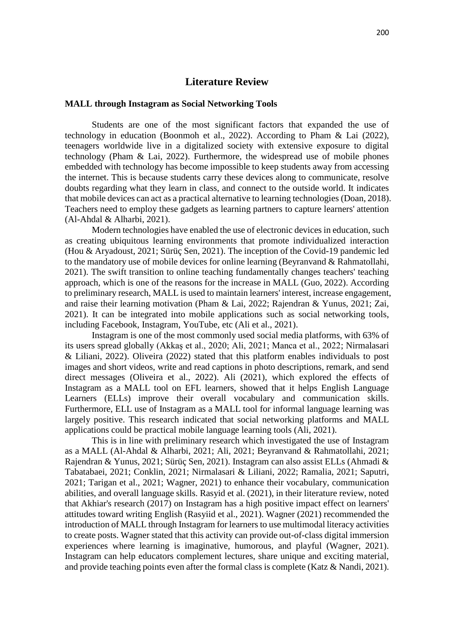#### **Literature Review**

#### **MALL through Instagram as Social Networking Tools**

Students are one of the most significant factors that expanded the use of technology in education (Boonmoh et al., 2022). According to Pham & Lai (2022), teenagers worldwide live in a digitalized society with extensive exposure to digital technology (Pham & Lai, 2022). Furthermore, the widespread use of mobile phones embedded with technology has become impossible to keep students away from accessing the internet. This is because students carry these devices along to communicate, resolve doubts regarding what they learn in class, and connect to the outside world. It indicates that mobile devices can act as a practical alternative to learning technologies (Doan, 2018). Teachers need to employ these gadgets as learning partners to capture learners' attention (Al-Ahdal & Alharbi, 2021).

Modern technologies have enabled the use of electronic devices in education, such as creating ubiquitous learning environments that promote individualized interaction (Hou & Aryadoust, 2021; Sürüç Sen, 2021). The inception of the Covid-19 pandemic led to the mandatory use of mobile devices for online learning (Beyranvand & Rahmatollahi, 2021). The swift transition to online teaching fundamentally changes teachers' teaching approach, which is one of the reasons for the increase in MALL (Guo, 2022). According to preliminary research, MALL is used to maintain learners' interest, increase engagement, and raise their learning motivation (Pham & Lai, 2022; Rajendran & Yunus, 2021; Zai, 2021). It can be integrated into mobile applications such as social networking tools, including Facebook, Instagram, YouTube, etc (Ali et al., 2021).

Instagram is one of the most commonly used social media platforms, with 63% of its users spread globally (Akkaş et al., 2020; Ali, 2021; Manca et al., 2022; Nirmalasari & Liliani, 2022). Oliveira (2022) stated that this platform enables individuals to post images and short videos, write and read captions in photo descriptions, remark, and send direct messages (Oliveira et al., 2022). Ali (2021), which explored the effects of Instagram as a MALL tool on EFL learners, showed that it helps English Language Learners (ELLs) improve their overall vocabulary and communication skills. Furthermore, ELL use of Instagram as a MALL tool for informal language learning was largely positive. This research indicated that social networking platforms and MALL applications could be practical mobile language learning tools (Ali, 2021).

This is in line with preliminary research which investigated the use of Instagram as a MALL (Al-Ahdal & Alharbi, 2021; Ali, 2021; Beyranvand & Rahmatollahi, 2021; Rajendran & Yunus, 2021; Sürüç Sen, 2021). Instagram can also assist ELLs (Ahmadi & Tabatabaei, 2021; Conklin, 2021; Nirmalasari & Liliani, 2022; Ramalia, 2021; Saputri, 2021; Tarigan et al., 2021; Wagner, 2021) to enhance their vocabulary, communication abilities, and overall language skills. Rasyid et al. (2021), in their literature review, noted that Akhiar's research (2017) on Instagram has a high positive impact effect on learners' attitudes toward writing English (Rasyiid et al., 2021). Wagner (2021) recommended the introduction of MALL through Instagram for learners to use multimodal literacy activities to create posts. Wagner stated that this activity can provide out-of-class digital immersion experiences where learning is imaginative, humorous, and playful (Wagner, 2021). Instagram can help educators complement lectures, share unique and exciting material, and provide teaching points even after the formal class is complete (Katz & Nandi, 2021).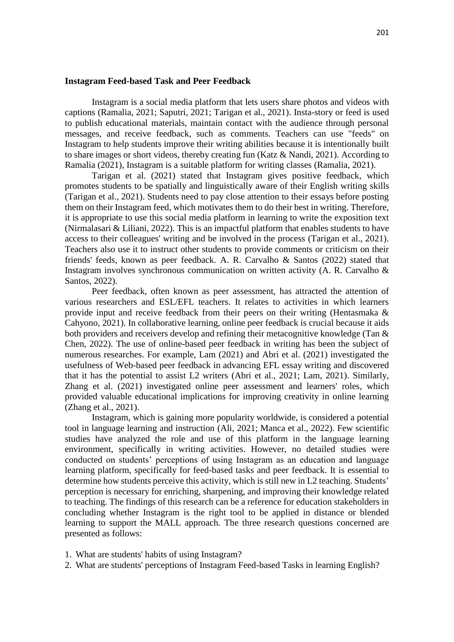#### **Instagram Feed-based Task and Peer Feedback**

Instagram is a social media platform that lets users share photos and videos with captions (Ramalia, 2021; Saputri, 2021; Tarigan et al., 2021). Insta-story or feed is used to publish educational materials, maintain contact with the audience through personal messages, and receive feedback, such as comments. Teachers can use "feeds" on Instagram to help students improve their writing abilities because it is intentionally built to share images or short videos, thereby creating fun (Katz & Nandi, 2021). According to Ramalia (2021), Instagram is a suitable platform for writing classes (Ramalia, 2021).

Tarigan et al. (2021) stated that Instagram gives positive feedback, which promotes students to be spatially and linguistically aware of their English writing skills (Tarigan et al., 2021). Students need to pay close attention to their essays before posting them on their Instagram feed, which motivates them to do their best in writing. Therefore, it is appropriate to use this social media platform in learning to write the exposition text (Nirmalasari & Liliani, 2022). This is an impactful platform that enables students to have access to their colleagues' writing and be involved in the process (Tarigan et al., 2021). Teachers also use it to instruct other students to provide comments or criticism on their friends' feeds, known as peer feedback. A. R. Carvalho & Santos (2022) stated that Instagram involves synchronous communication on written activity (A. R. Carvalho & Santos, 2022).

Peer feedback, often known as peer assessment, has attracted the attention of various researchers and ESL/EFL teachers. It relates to activities in which learners provide input and receive feedback from their peers on their writing (Hentasmaka & Cahyono, 2021). In collaborative learning, online peer feedback is crucial because it aids both providers and receivers develop and refining their metacognitive knowledge (Tan & Chen, 2022). The use of online-based peer feedback in writing has been the subject of numerous researches. For example, Lam (2021) and Abri et al. (2021) investigated the usefulness of Web-based peer feedback in advancing EFL essay writing and discovered that it has the potential to assist L2 writers (Abri et al., 2021; Lam, 2021). Similarly, Zhang et al. (2021) investigated online peer assessment and learners' roles, which provided valuable educational implications for improving creativity in online learning (Zhang et al., 2021).

Instagram, which is gaining more popularity worldwide, is considered a potential tool in language learning and instruction (Ali, 2021; Manca et al., 2022). Few scientific studies have analyzed the role and use of this platform in the language learning environment, specifically in writing activities. However, no detailed studies were conducted on students' perceptions of using Instagram as an education and language learning platform, specifically for feed-based tasks and peer feedback. It is essential to determine how students perceive this activity, which is still new in L2 teaching. Students' perception is necessary for enriching, sharpening, and improving their knowledge related to teaching. The findings of this research can be a reference for education stakeholders in concluding whether Instagram is the right tool to be applied in distance or blended learning to support the MALL approach. The three research questions concerned are presented as follows:

- 1. What are students' habits of using Instagram?
- 2. What are students' perceptions of Instagram Feed-based Tasks in learning English?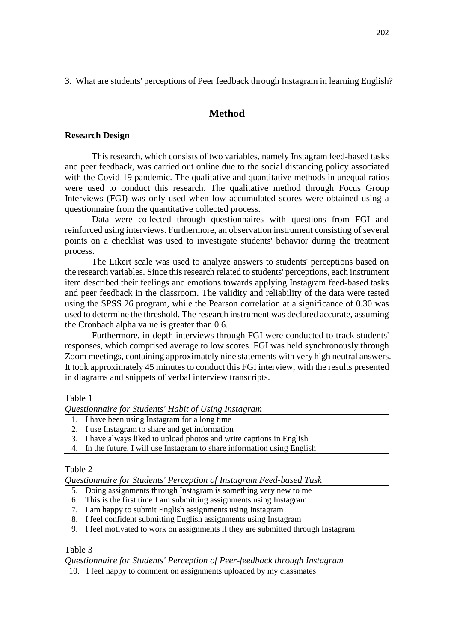3. What are students' perceptions of Peer feedback through Instagram in learning English?

# **Method**

## **Research Design**

This research, which consists of two variables, namely Instagram feed-based tasks and peer feedback, was carried out online due to the social distancing policy associated with the Covid-19 pandemic. The qualitative and quantitative methods in unequal ratios were used to conduct this research. The qualitative method through Focus Group Interviews (FGI) was only used when low accumulated scores were obtained using a questionnaire from the quantitative collected process.

Data were collected through questionnaires with questions from FGI and reinforced using interviews. Furthermore, an observation instrument consisting of several points on a checklist was used to investigate students' behavior during the treatment process.

The Likert scale was used to analyze answers to students' perceptions based on the research variables. Since this research related to students' perceptions, each instrument item described their feelings and emotions towards applying Instagram feed-based tasks and peer feedback in the classroom. The validity and reliability of the data were tested using the SPSS 26 program, while the Pearson correlation at a significance of 0.30 was used to determine the threshold. The research instrument was declared accurate, assuming the Cronbach alpha value is greater than 0.6.

Furthermore, in-depth interviews through FGI were conducted to track students' responses, which comprised average to low scores. FGI was held synchronously through Zoom meetings, containing approximately nine statements with very high neutral answers. It took approximately 45 minutes to conduct this FGI interview, with the results presented in diagrams and snippets of verbal interview transcripts.

## Table 1

*Questionnaire for Students' Habit of Using Instagram*

- 1. I have been using Instagram for a long time
- 2. I use Instagram to share and get information
- 3. I have always liked to upload photos and write captions in English
- 4. In the future, I will use Instagram to share information using English

## Table 2

*Questionnaire for Students' Perception of Instagram Feed-based Task*

- 5. Doing assignments through Instagram is something very new to me
- 6. This is the first time I am submitting assignments using Instagram
- 7. I am happy to submit English assignments using Instagram
- 8. I feel confident submitting English assignments using Instagram
- 9. I feel motivated to work on assignments if they are submitted through Instagram

## Table 3

*Questionnaire for Students' Perception of Peer-feedback through Instagram*

10. I feel happy to comment on assignments uploaded by my classmates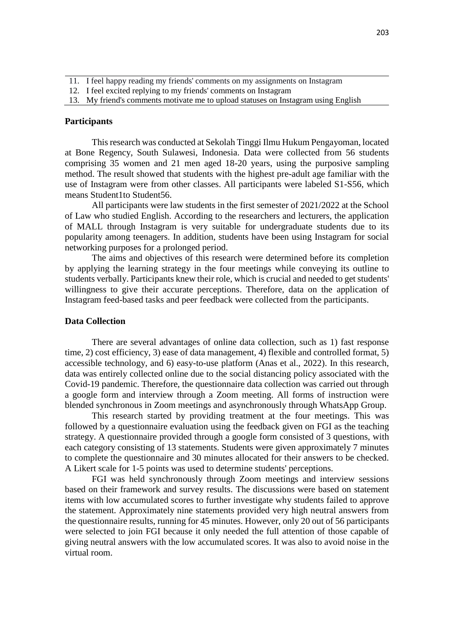- 11. I feel happy reading my friends' comments on my assignments on Instagram
- 12. I feel excited replying to my friends' comments on Instagram
- 13. My friend's comments motivate me to upload statuses on Instagram using English

#### **Participants**

This research was conducted at Sekolah Tinggi Ilmu Hukum Pengayoman, located at Bone Regency, South Sulawesi, Indonesia. Data were collected from 56 students comprising 35 women and 21 men aged 18-20 years, using the purposive sampling method. The result showed that students with the highest pre-adult age familiar with the use of Instagram were from other classes. All participants were labeled S1-S56, which means Student1to Student56.

All participants were law students in the first semester of 2021/2022 at the School of Law who studied English. According to the researchers and lecturers, the application of MALL through Instagram is very suitable for undergraduate students due to its popularity among teenagers. In addition, students have been using Instagram for social networking purposes for a prolonged period.

The aims and objectives of this research were determined before its completion by applying the learning strategy in the four meetings while conveying its outline to students verbally. Participants knew their role, which is crucial and needed to get students' willingness to give their accurate perceptions. Therefore, data on the application of Instagram feed-based tasks and peer feedback were collected from the participants.

#### **Data Collection**

There are several advantages of online data collection, such as 1) fast response time, 2) cost efficiency, 3) ease of data management, 4) flexible and controlled format, 5) accessible technology, and 6) easy-to-use platform (Anas et al., 2022). In this research, data was entirely collected online due to the social distancing policy associated with the Covid-19 pandemic. Therefore, the questionnaire data collection was carried out through a google form and interview through a Zoom meeting. All forms of instruction were blended synchronous in Zoom meetings and asynchronously through WhatsApp Group.

This research started by providing treatment at the four meetings. This was followed by a questionnaire evaluation using the feedback given on FGI as the teaching strategy. A questionnaire provided through a google form consisted of 3 questions, with each category consisting of 13 statements. Students were given approximately 7 minutes to complete the questionnaire and 30 minutes allocated for their answers to be checked. A Likert scale for 1-5 points was used to determine students' perceptions.

FGI was held synchronously through Zoom meetings and interview sessions based on their framework and survey results. The discussions were based on statement items with low accumulated scores to further investigate why students failed to approve the statement. Approximately nine statements provided very high neutral answers from the questionnaire results, running for 45 minutes. However, only 20 out of 56 participants were selected to join FGI because it only needed the full attention of those capable of giving neutral answers with the low accumulated scores. It was also to avoid noise in the virtual room.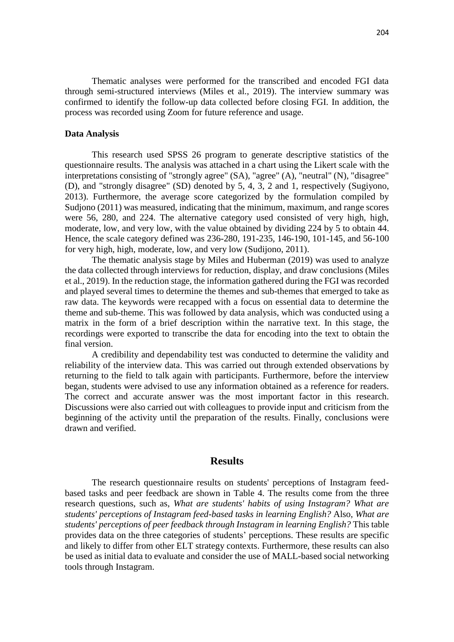Thematic analyses were performed for the transcribed and encoded FGI data through semi-structured interviews (Miles et al., 2019). The interview summary was confirmed to identify the follow-up data collected before closing FGI. In addition, the process was recorded using Zoom for future reference and usage.

#### **Data Analysis**

This research used SPSS 26 program to generate descriptive statistics of the questionnaire results. The analysis was attached in a chart using the Likert scale with the interpretations consisting of "strongly agree" (SA), "agree" (A), "neutral" (N), "disagree" (D), and "strongly disagree" (SD) denoted by 5, 4, 3, 2 and 1, respectively (Sugiyono, 2013). Furthermore, the average score categorized by the formulation compiled by Sudjono (2011) was measured, indicating that the minimum, maximum, and range scores were 56, 280, and 224. The alternative category used consisted of very high, high, moderate, low, and very low, with the value obtained by dividing 224 by 5 to obtain 44. Hence, the scale category defined was 236-280, 191-235, 146-190, 101-145, and 56-100 for very high, high, moderate, low, and very low (Sudijono, 2011).

The thematic analysis stage by Miles and Huberman (2019) was used to analyze the data collected through interviews for reduction, display, and draw conclusions (Miles et al., 2019). In the reduction stage, the information gathered during the FGI was recorded and played several times to determine the themes and sub-themes that emerged to take as raw data. The keywords were recapped with a focus on essential data to determine the theme and sub-theme. This was followed by data analysis, which was conducted using a matrix in the form of a brief description within the narrative text. In this stage, the recordings were exported to transcribe the data for encoding into the text to obtain the final version.

A credibility and dependability test was conducted to determine the validity and reliability of the interview data. This was carried out through extended observations by returning to the field to talk again with participants. Furthermore, before the interview began, students were advised to use any information obtained as a reference for readers. The correct and accurate answer was the most important factor in this research. Discussions were also carried out with colleagues to provide input and criticism from the beginning of the activity until the preparation of the results. Finally, conclusions were drawn and verified.

#### **Results**

The research questionnaire results on students' perceptions of Instagram feedbased tasks and peer feedback are shown in Table 4. The results come from the three research questions, such as, *What are students' habits of using Instagram? What are students' perceptions of Instagram feed-based tasks in learning English?* Also, *What are students' perceptions of peer feedback through Instagram in learning English?* This table provides data on the three categories of students' perceptions. These results are specific and likely to differ from other ELT strategy contexts. Furthermore, these results can also be used as initial data to evaluate and consider the use of MALL-based social networking tools through Instagram.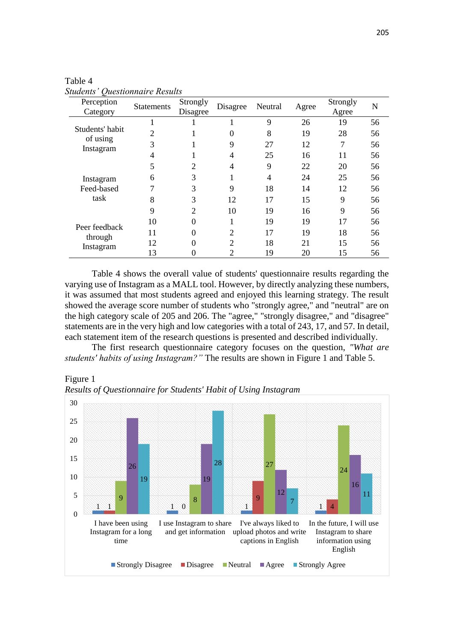| Perception<br>Category                   | <b>Statements</b> | Strongly<br>Disagree | Disagree       | Neutral | Agree | Strongly<br>Agree | N  |
|------------------------------------------|-------------------|----------------------|----------------|---------|-------|-------------------|----|
|                                          |                   |                      |                | 9       | 26    | 19                | 56 |
| Students' habit<br>of using<br>Instagram | 2                 |                      | 0              | 8       | 19    | 28                | 56 |
|                                          | 3                 |                      | 9              | 27      | 12    | 7                 | 56 |
|                                          | 4                 |                      | 4              | 25      | 16    | 11                | 56 |
|                                          | 5                 | 2                    | 4              | 9       | 22    | 20                | 56 |
| Instagram                                | 6                 | 3                    | 1<br>T         | 4       | 24    | 25                | 56 |
| Feed-based                               | 7                 | 3                    | 9              | 18      | 14    | 12                | 56 |
| task                                     | 8                 | 3                    | 12             | 17      | 15    | 9                 | 56 |
|                                          | 9                 | $\overline{c}$       | 10             | 19      | 16    | 9                 | 56 |
|                                          | 10                | $\Omega$             | 1<br>1.        | 19      | 19    | 17                | 56 |
| Peer feedback<br>through                 | 11                | 0                    | $\overline{2}$ | 17      | 19    | 18                | 56 |
| Instagram                                | 12                | $\Omega$             | $\overline{2}$ | 18      | 21    | 15                | 56 |
|                                          | 13                |                      | $\overline{2}$ | 19      | 20    | 15                | 56 |

Table 4 *Students' Questionnaire Results*

Table 4 shows the overall value of students' questionnaire results regarding the varying use of Instagram as a MALL tool. However, by directly analyzing these numbers, it was assumed that most students agreed and enjoyed this learning strategy. The result showed the average score number of students who "strongly agree," and "neutral" are on the high category scale of 205 and 206. The "agree," "strongly disagree," and "disagree" statements are in the very high and low categories with a total of 243, 17, and 57. In detail, each statement item of the research questions is presented and described individually.

The first research questionnaire category focuses on the question, *"What are students' habits of using Instagram?"* The results are shown in Figure 1 and Table 5.





*Results of Questionnaire for Students' Habit of Using Instagram*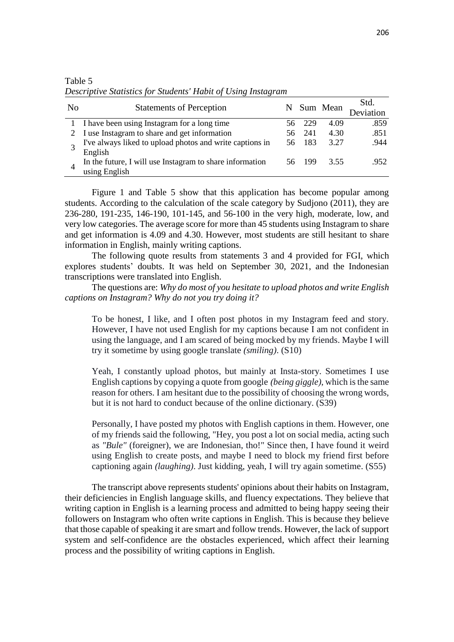| N <sub>0</sub> | <b>Statements of Perception</b>                          |     |       | N Sum Mean | Std.<br>Deviation |
|----------------|----------------------------------------------------------|-----|-------|------------|-------------------|
|                | I have been using Instagram for a long time              | 56. | -229  | 4.09       | .859              |
|                | I use Instagram to share and get information             | 56. | 241   | 4.30       | .851              |
|                | I've always liked to upload photos and write captions in | 56. | - 183 | 3.27       | .944              |
|                | English                                                  |     |       |            |                   |
|                | In the future, I will use Instagram to share information | 56. | 199   | 3.55       | .952              |
|                | using English                                            |     |       |            |                   |

Table 5 *Descriptive Statistics for Students' Habit of Using Instagram*

Figure 1 and Table 5 show that this application has become popular among students. According to the calculation of the scale category by Sudjono (2011), they are 236-280, 191-235, 146-190, 101-145, and 56-100 in the very high, moderate, low, and very low categories. The average score for more than 45 students using Instagram to share and get information is 4.09 and 4.30. However, most students are still hesitant to share information in English, mainly writing captions.

The following quote results from statements 3 and 4 provided for FGI, which explores students' doubts. It was held on September 30, 2021, and the Indonesian transcriptions were translated into English.

The questions are: *Why do most of you hesitate to upload photos and write English captions on Instagram? Why do not you try doing it?*

To be honest, I like, and I often post photos in my Instagram feed and story. However, I have not used English for my captions because I am not confident in using the language, and I am scared of being mocked by my friends. Maybe I will try it sometime by using google translate *(smiling)*. (S10)

Yeah, I constantly upload photos, but mainly at Insta-story. Sometimes I use English captions by copying a quote from google *(being giggle)*, which is the same reason for others. I am hesitant due to the possibility of choosing the wrong words, but it is not hard to conduct because of the online dictionary. (S39)

Personally, I have posted my photos with English captions in them. However, one of my friends said the following, "Hey, you post a lot on social media, acting such as *"Bule"* (foreigner), we are Indonesian, tho!" Since then, I have found it weird using English to create posts, and maybe I need to block my friend first before captioning again *(laughing)*. Just kidding, yeah, I will try again sometime. (S55)

The transcript above represents students' opinions about their habits on Instagram, their deficiencies in English language skills, and fluency expectations. They believe that writing caption in English is a learning process and admitted to being happy seeing their followers on Instagram who often write captions in English. This is because they believe that those capable of speaking it are smart and follow trends. However, the lack of support system and self-confidence are the obstacles experienced, which affect their learning process and the possibility of writing captions in English.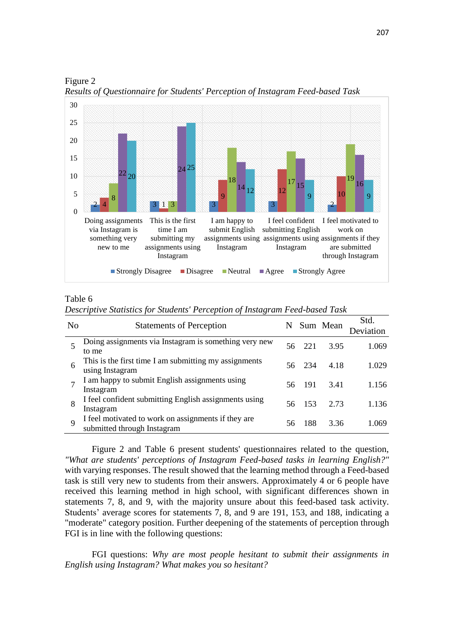

Figure 2 *Results of Questionnaire for Students' Perception of Instagram Feed-based Task*

## Table 6

*Descriptive Statistics for Students' Perception of Instagram Feed-based Task*

| N <sub>0</sub> | <b>Statements of Perception</b>                                                    | N   |        | Sum Mean | Std.<br>Deviation |
|----------------|------------------------------------------------------------------------------------|-----|--------|----------|-------------------|
|                | Doing assignments via Instagram is something very new<br>to me                     | 56. | 221    | 3.95     | 1.069             |
| 6              | This is the first time I am submitting my assignments<br>using Instagram           |     | 56 234 | 4.18     | 1.029             |
|                | I am happy to submit English assignments using<br>Instagram                        | 56. | -191   | 3.41     | 1.156             |
| 8              | I feel confident submitting English assignments using<br>Instagram                 | 56  | 153    | 2.73     | 1.136             |
| Q              | I feel motivated to work on assignments if they are<br>submitted through Instagram | 56  | 188    | 3.36     | i 069             |

Figure 2 and Table 6 present students' questionnaires related to the question, *"What are students' perceptions of Instagram Feed-based tasks in learning English?"* with varying responses. The result showed that the learning method through a Feed-based task is still very new to students from their answers. Approximately 4 or 6 people have received this learning method in high school, with significant differences shown in statements 7, 8, and 9, with the majority unsure about this feed-based task activity. Students' average scores for statements 7, 8, and 9 are 191, 153, and 188, indicating a "moderate" category position. Further deepening of the statements of perception through FGI is in line with the following questions:

FGI questions: *Why are most people hesitant to submit their assignments in English using Instagram? What makes you so hesitant?*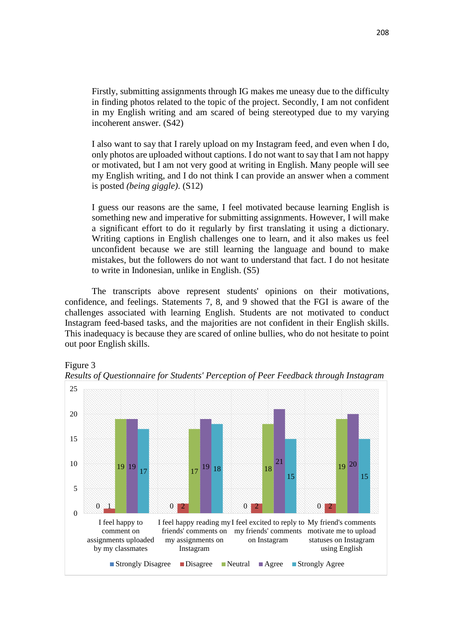Firstly, submitting assignments through IG makes me uneasy due to the difficulty in finding photos related to the topic of the project. Secondly, I am not confident in my English writing and am scared of being stereotyped due to my varying incoherent answer. (S42)

I also want to say that I rarely upload on my Instagram feed, and even when I do, only photos are uploaded without captions. I do not want to say that I am not happy or motivated, but I am not very good at writing in English. Many people will see my English writing, and I do not think I can provide an answer when a comment is posted *(being giggle)*. (S12)

I guess our reasons are the same, I feel motivated because learning English is something new and imperative for submitting assignments. However, I will make a significant effort to do it regularly by first translating it using a dictionary. Writing captions in English challenges one to learn, and it also makes us feel unconfident because we are still learning the language and bound to make mistakes, but the followers do not want to understand that fact. I do not hesitate to write in Indonesian, unlike in English. (S5)

The transcripts above represent students' opinions on their motivations, confidence, and feelings. Statements 7, 8, and 9 showed that the FGI is aware of the challenges associated with learning English. Students are not motivated to conduct Instagram feed-based tasks, and the majorities are not confident in their English skills. This inadequacy is because they are scared of online bullies, who do not hesitate to point out poor English skills.





*Results of Questionnaire for Students' Perception of Peer Feedback through Instagram*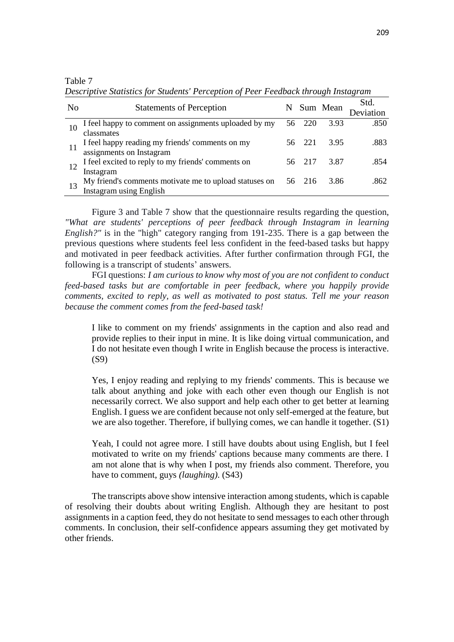Table 7

No Statements of Perception N Sum Mean Std. Deviation 10 I feel happy to comment on assignments uploaded by my classmates 56 220 3.93 .850 11 I feel happy reading my friends' comments on my assignments on Instagram 56 221 3.95 .883  $12 \times 1$  feel excited to reply to my friends' comments on Instagram 56 217 3.87 .854 13 My friend's comments motivate me to upload statuses on Instagram using English 56 216 3.86 .862

*Descriptive Statistics for Students' Perception of Peer Feedback through Instagram*

Figure 3 and Table 7 show that the questionnaire results regarding the question, *"What are students' perceptions of peer feedback through Instagram in learning English?"* is in the "high" category ranging from 191-235. There is a gap between the previous questions where students feel less confident in the feed-based tasks but happy and motivated in peer feedback activities. After further confirmation through FGI, the following is a transcript of students' answers.

FGI questions: *I am curious to know why most of you are not confident to conduct feed-based tasks but are comfortable in peer feedback, where you happily provide comments, excited to reply, as well as motivated to post status. Tell me your reason because the comment comes from the feed-based task!*

I like to comment on my friends' assignments in the caption and also read and provide replies to their input in mine. It is like doing virtual communication, and I do not hesitate even though I write in English because the process is interactive. (S9)

Yes, I enjoy reading and replying to my friends' comments. This is because we talk about anything and joke with each other even though our English is not necessarily correct. We also support and help each other to get better at learning English. I guess we are confident because not only self-emerged at the feature, but we are also together. Therefore, if bullying comes, we can handle it together. (S1)

Yeah, I could not agree more. I still have doubts about using English, but I feel motivated to write on my friends' captions because many comments are there. I am not alone that is why when I post, my friends also comment. Therefore, you have to comment, guys *(laughing)*. (S43)

The transcripts above show intensive interaction among students, which is capable of resolving their doubts about writing English. Although they are hesitant to post assignments in a caption feed, they do not hesitate to send messages to each other through comments. In conclusion, their self-confidence appears assuming they get motivated by other friends.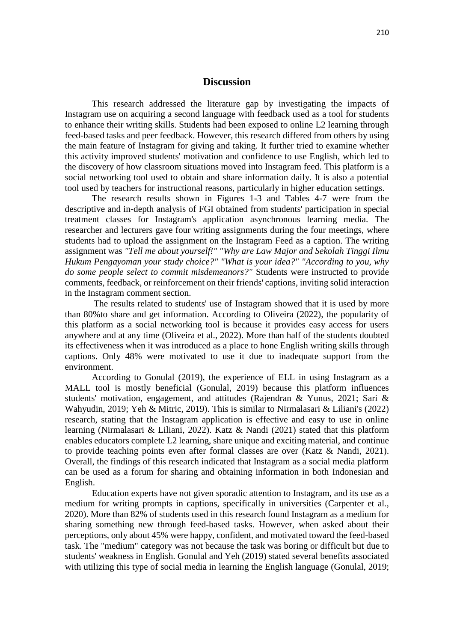## **Discussion**

This research addressed the literature gap by investigating the impacts of Instagram use on acquiring a second language with feedback used as a tool for students to enhance their writing skills. Students had been exposed to online L2 learning through feed-based tasks and peer feedback. However, this research differed from others by using the main feature of Instagram for giving and taking. It further tried to examine whether this activity improved students' motivation and confidence to use English, which led to the discovery of how classroom situations moved into Instagram feed. This platform is a social networking tool used to obtain and share information daily. It is also a potential tool used by teachers for instructional reasons, particularly in higher education settings.

The research results shown in Figures 1-3 and Tables 4-7 were from the descriptive and in-depth analysis of FGI obtained from students' participation in special treatment classes for Instagram's application asynchronous learning media. The researcher and lecturers gave four writing assignments during the four meetings, where students had to upload the assignment on the Instagram Feed as a caption. The writing assignment was *"Tell me about yourself!" "Why are Law Major and Sekolah Tinggi Ilmu Hukum Pengayoman your study choice?" "What is your idea?" "According to you, why do some people select to commit misdemeanors?"* Students were instructed to provide comments, feedback, or reinforcement on their friends' captions, inviting solid interaction in the Instagram comment section.

The results related to students' use of Instagram showed that it is used by more than 80%to share and get information. According to Oliveira (2022), the popularity of this platform as a social networking tool is because it provides easy access for users anywhere and at any time (Oliveira et al., 2022). More than half of the students doubted its effectiveness when it was introduced as a place to hone English writing skills through captions. Only 48% were motivated to use it due to inadequate support from the environment.

According to Gonulal (2019), the experience of ELL in using Instagram as a MALL tool is mostly beneficial (Gonulal, 2019) because this platform influences students' motivation, engagement, and attitudes (Rajendran & Yunus, 2021; Sari & Wahyudin, 2019; Yeh & Mitric, 2019). This is similar to Nirmalasari & Liliani's (2022) research, stating that the Instagram application is effective and easy to use in online learning (Nirmalasari & Liliani, 2022). Katz & Nandi (2021) stated that this platform enables educators complete L2 learning, share unique and exciting material, and continue to provide teaching points even after formal classes are over (Katz & Nandi, 2021). Overall, the findings of this research indicated that Instagram as a social media platform can be used as a forum for sharing and obtaining information in both Indonesian and English.

Education experts have not given sporadic attention to Instagram, and its use as a medium for writing prompts in captions, specifically in universities (Carpenter et al., 2020). More than 82% of students used in this research found Instagram as a medium for sharing something new through feed-based tasks. However, when asked about their perceptions, only about 45% were happy, confident, and motivated toward the feed-based task. The "medium" category was not because the task was boring or difficult but due to students' weakness in English. Gonulal and Yeh (2019) stated several benefits associated with utilizing this type of social media in learning the English language (Gonulal, 2019;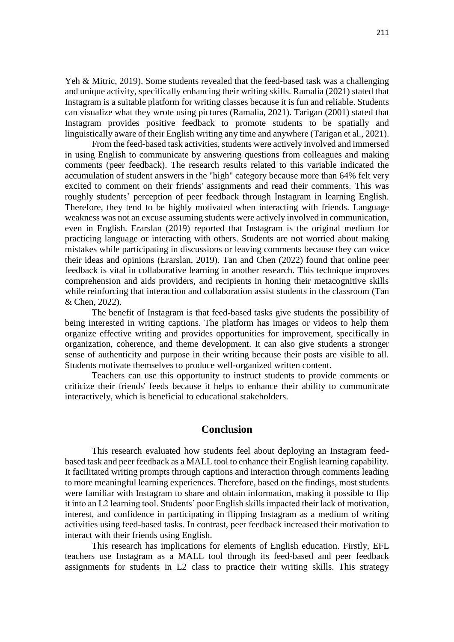Yeh & Mitric, 2019). Some students revealed that the feed-based task was a challenging and unique activity, specifically enhancing their writing skills. Ramalia (2021) stated that Instagram is a suitable platform for writing classes because it is fun and reliable. Students can visualize what they wrote using pictures (Ramalia, 2021). Tarigan (2001) stated that Instagram provides positive feedback to promote students to be spatially and linguistically aware of their English writing any time and anywhere (Tarigan et al., 2021).

From the feed-based task activities, students were actively involved and immersed in using English to communicate by answering questions from colleagues and making comments (peer feedback). The research results related to this variable indicated the accumulation of student answers in the "high" category because more than 64% felt very excited to comment on their friends' assignments and read their comments. This was roughly students' perception of peer feedback through Instagram in learning English. Therefore, they tend to be highly motivated when interacting with friends. Language weakness was not an excuse assuming students were actively involved in communication, even in English. Erarslan (2019) reported that Instagram is the original medium for practicing language or interacting with others. Students are not worried about making mistakes while participating in discussions or leaving comments because they can voice their ideas and opinions (Erarslan, 2019). Tan and Chen (2022) found that online peer feedback is vital in collaborative learning in another research. This technique improves comprehension and aids providers, and recipients in honing their metacognitive skills while reinforcing that interaction and collaboration assist students in the classroom (Tan & Chen, 2022).

The benefit of Instagram is that feed-based tasks give students the possibility of being interested in writing captions. The platform has images or videos to help them organize effective writing and provides opportunities for improvement, specifically in organization, coherence, and theme development. It can also give students a stronger sense of authenticity and purpose in their writing because their posts are visible to all. Students motivate themselves to produce well-organized written content.

Teachers can use this opportunity to instruct students to provide comments or criticize their friends' feeds because it helps to enhance their ability to communicate interactively, which is beneficial to educational stakeholders.

## **Conclusion**

This research evaluated how students feel about deploying an Instagram feedbased task and peer feedback as a MALL tool to enhance their English learning capability. It facilitated writing prompts through captions and interaction through comments leading to more meaningful learning experiences. Therefore, based on the findings, most students were familiar with Instagram to share and obtain information, making it possible to flip it into an L2 learning tool. Students' poor English skills impacted their lack of motivation, interest, and confidence in participating in flipping Instagram as a medium of writing activities using feed-based tasks. In contrast, peer feedback increased their motivation to interact with their friends using English.

This research has implications for elements of English education. Firstly, EFL teachers use Instagram as a MALL tool through its feed-based and peer feedback assignments for students in L2 class to practice their writing skills. This strategy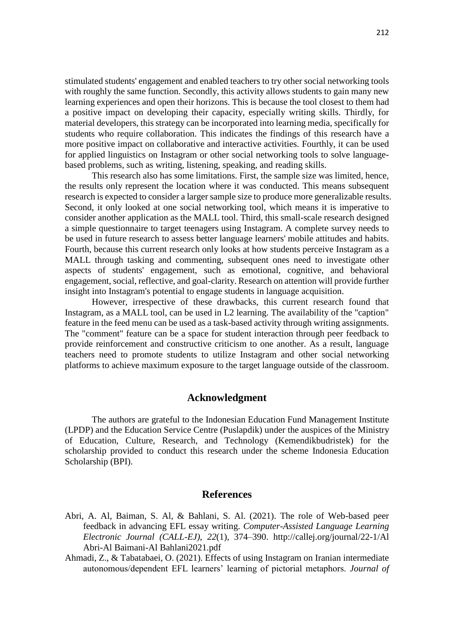stimulated students' engagement and enabled teachers to try other social networking tools with roughly the same function. Secondly, this activity allows students to gain many new learning experiences and open their horizons. This is because the tool closest to them had a positive impact on developing their capacity, especially writing skills. Thirdly, for material developers, this strategy can be incorporated into learning media, specifically for students who require collaboration. This indicates the findings of this research have a more positive impact on collaborative and interactive activities. Fourthly, it can be used for applied linguistics on Instagram or other social networking tools to solve languagebased problems, such as writing, listening, speaking, and reading skills.

This research also has some limitations. First, the sample size was limited, hence, the results only represent the location where it was conducted. This means subsequent research is expected to consider a larger sample size to produce more generalizable results. Second, it only looked at one social networking tool, which means it is imperative to consider another application as the MALL tool. Third, this small-scale research designed a simple questionnaire to target teenagers using Instagram. A complete survey needs to be used in future research to assess better language learners' mobile attitudes and habits. Fourth, because this current research only looks at how students perceive Instagram as a MALL through tasking and commenting, subsequent ones need to investigate other aspects of students' engagement, such as emotional, cognitive, and behavioral engagement, social, reflective, and goal-clarity. Research on attention will provide further insight into Instagram's potential to engage students in language acquisition.

However, irrespective of these drawbacks, this current research found that Instagram, as a MALL tool, can be used in L2 learning. The availability of the "caption" feature in the feed menu can be used as a task-based activity through writing assignments. The "comment" feature can be a space for student interaction through peer feedback to provide reinforcement and constructive criticism to one another. As a result, language teachers need to promote students to utilize Instagram and other social networking platforms to achieve maximum exposure to the target language outside of the classroom.

#### **Acknowledgment**

The authors are grateful to the Indonesian Education Fund Management Institute (LPDP) and the Education Service Centre (Puslapdik) under the auspices of the Ministry of Education, Culture, Research, and Technology (Kemendikbudristek) for the scholarship provided to conduct this research under the scheme Indonesia Education Scholarship (BPI).

## **References**

- Abri, A. Al, Baiman, S. Al, & Bahlani, S. Al. (2021). The role of Web-based peer feedback in advancing EFL essay writing. *Computer-Assisted Language Learning Electronic Journal (CALL-EJ)*, *22*(1), 374–390. http://callej.org/journal/22-1/Al Abri-Al Baimani-Al Bahlani2021.pdf
- Ahmadi, Z., & Tabatabaei, O. (2021). Effects of using Instagram on Iranian intermediate autonomous/dependent EFL learners' learning of pictorial metaphors. *Journal of*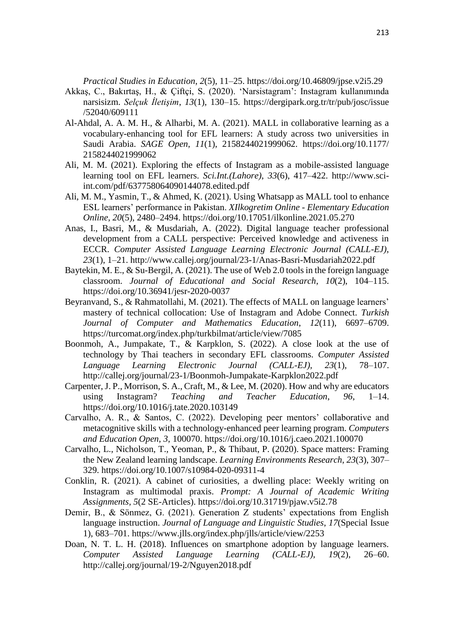*Practical Studies in Education*, *2*(5), 11–25. https://doi.org/10.46809/jpse.v2i5.29

- Akkaş, C., Bakırtaş, H., & Çiftçi, S. (2020). 'Narsistagram': Instagram kullanımında narsisizm. *Selçuk İletişim*, *13*(1), 130–15. https://dergipark.org.tr/tr/pub/josc/issue /52040/609111
- Al-Ahdal, A. A. M. H., & Alharbi, M. A. (2021). MALL in collaborative learning as a vocabulary-enhancing tool for EFL learners: A study across two universities in Saudi Arabia. *SAGE Open*, *11*(1), 2158244021999062. https://doi.org/10.1177/ 2158244021999062
- Ali, M. M. (2021). Exploring the effects of Instagram as a mobile-assisted language learning tool on EFL learners. *Sci.Int.(Lahore)*, *33*(6), 417–422. http://www.sciint.com/pdf/637758064090144078.edited.pdf
- Ali, M. M., Yasmin, T., & Ahmed, K. (2021). Using Whatsapp as MALL tool to enhance ESL learners' performance in Pakistan. *XIlkogretim Online - Elementary Education Online*, *20*(5), 2480–2494. https://doi.org/10.17051/ilkonline.2021.05.270
- Anas, I., Basri, M., & Musdariah, A. (2022). Digital language teacher professional development from a CALL perspective: Perceived knowledge and activeness in ECCR. *Computer Assisted Language Learning Electronic Journal (CALL-EJ)*, *23*(1), 1–21. http://www.callej.org/journal/23-1/Anas-Basri-Musdariah2022.pdf
- Baytekin, M. E., & Su-Bergil, A. (2021). The use of Web 2.0 tools in the foreign language classroom. *Journal of Educational and Social Research*, *10*(2), 104–115. https://doi.org/10.36941/jesr-2020-0037
- Beyranvand, S., & Rahmatollahi, M. (2021). The effects of MALL on language learners' mastery of technical collocation: Use of Instagram and Adobe Connect. *Turkish Journal of Computer and Mathematics Education*, *12*(11), 6697–6709. https://turcomat.org/index.php/turkbilmat/article/view/7085
- Boonmoh, A., Jumpakate, T., & Karpklon, S. (2022). A close look at the use of technology by Thai teachers in secondary EFL classrooms. *Computer Assisted Language Learning Electronic Journal (CALL-EJ)*, *23*(1), 78–107. http://callej.org/journal/23-1/Boonmoh-Jumpakate-Karpklon2022.pdf
- Carpenter, J. P., Morrison, S. A., Craft, M., & Lee, M. (2020). How and why are educators using Instagram? *Teaching and Teacher Education*, *96*, 1–14. https://doi.org/10.1016/j.tate.2020.103149
- Carvalho, A. R., & Santos, C. (2022). Developing peer mentors' collaborative and metacognitive skills with a technology-enhanced peer learning program. *Computers and Education Open*, *3*, 100070. https://doi.org/10.1016/j.caeo.2021.100070
- Carvalho, L., Nicholson, T., Yeoman, P., & Thibaut, P. (2020). Space matters: Framing the New Zealand learning landscape. *Learning Environments Research*, *23*(3), 307– 329. https://doi.org/10.1007/s10984-020-09311-4
- Conklin, R. (2021). A cabinet of curiosities, a dwelling place: Weekly writing on Instagram as multimodal praxis. *Prompt: A Journal of Academic Writing Assignments*, *5*(2 SE-Articles). https://doi.org/10.31719/pjaw.v5i2.78
- Demir, B., & Sönmez, G. (2021). Generation Z students' expectations from English language instruction. *Journal of Language and Linguistic Studies*, *17*(Special Issue 1), 683–701. https://www.jlls.org/index.php/jlls/article/view/2253
- Doan, N. T. L. H. (2018). Influences on smartphone adoption by language learners. *Computer Assisted Language Learning (CALL-EJ)*, *19*(2), 26–60. http://callej.org/journal/19-2/Nguyen2018.pdf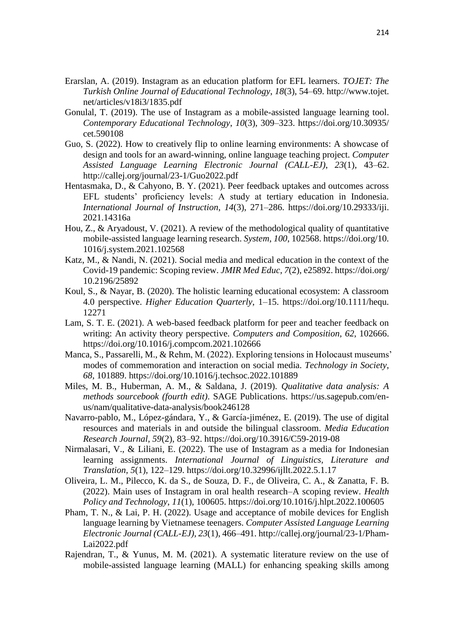- Erarslan, A. (2019). Instagram as an education platform for EFL learners. *TOJET: The Turkish Online Journal of Educational Technology*, *18*(3), 54–69. http://www.tojet. net/articles/v18i3/1835.pdf
- Gonulal, T. (2019). The use of Instagram as a mobile-assisted language learning tool. *Contemporary Educational Technology*, *10*(3), 309–323. https://doi.org/10.30935/ cet.590108
- Guo, S. (2022). How to creatively flip to online learning environments: A showcase of design and tools for an award-winning, online language teaching project. *Computer Assisted Language Learning Electronic Journal (CALL-EJ)*, *23*(1), 43–62. http://callej.org/journal/23-1/Guo2022.pdf
- Hentasmaka, D., & Cahyono, B. Y. (2021). Peer feedback uptakes and outcomes across EFL students' proficiency levels: A study at tertiary education in Indonesia. *International Journal of Instruction*, *14*(3), 271–286. https://doi.org/10.29333/iji. 2021.14316a
- Hou, Z., & Aryadoust, V. (2021). A review of the methodological quality of quantitative mobile-assisted language learning research. *System*, *100*, 102568. https://doi.org/10. 1016/j.system.2021.102568
- Katz, M., & Nandi, N. (2021). Social media and medical education in the context of the Covid-19 pandemic: Scoping review. *JMIR Med Educ*, *7*(2), e25892. https://doi.org/ 10.2196/25892
- Koul, S., & Nayar, B. (2020). The holistic learning educational ecosystem: A classroom 4.0 perspective. *Higher Education Quarterly*, 1–15. https://doi.org/10.1111/hequ. 12271
- Lam, S. T. E. (2021). A web-based feedback platform for peer and teacher feedback on writing: An activity theory perspective. *Computers and Composition*, *62*, 102666. https://doi.org/10.1016/j.compcom.2021.102666
- Manca, S., Passarelli, M., & Rehm, M. (2022). Exploring tensions in Holocaust museums' modes of commemoration and interaction on social media. *Technology in Society*, *68*, 101889. https://doi.org/10.1016/j.techsoc.2022.101889
- Miles, M. B., Huberman, A. M., & Saldana, J. (2019). *Qualitative data analysis: A methods sourcebook (fourth edit)*. SAGE Publications. https://us.sagepub.com/enus/nam/qualitative-data-analysis/book246128
- Navarro-pablo, M., López-gándara, Y., & García-jiménez, E. (2019). The use of digital resources and materials in and outside the bilingual classroom. *Media Education Research Journal*, *59*(2), 83–92. https://doi.org/10.3916/C59-2019-08
- Nirmalasari, V., & Liliani, E. (2022). The use of Instagram as a media for Indonesian learning assignments. *International Journal of Linguistics, Literature and Translation*, *5*(1), 122–129. https://doi.org/10.32996/ijllt.2022.5.1.17
- Oliveira, L. M., Pilecco, K. da S., de Souza, D. F., de Oliveira, C. A., & Zanatta, F. B. (2022). Main uses of Instagram in oral health research–A scoping review. *Health Policy and Technology*, *11*(1), 100605. https://doi.org/10.1016/j.hlpt.2022.100605
- Pham, T. N., & Lai, P. H. (2022). Usage and acceptance of mobile devices for English language learning by Vietnamese teenagers. *Computer Assisted Language Learning Electronic Journal (CALL-EJ)*, *23*(1), 466–491. http://callej.org/journal/23-1/Pham-Lai2022.pdf
- Rajendran, T., & Yunus, M. M. (2021). A systematic literature review on the use of mobile-assisted language learning (MALL) for enhancing speaking skills among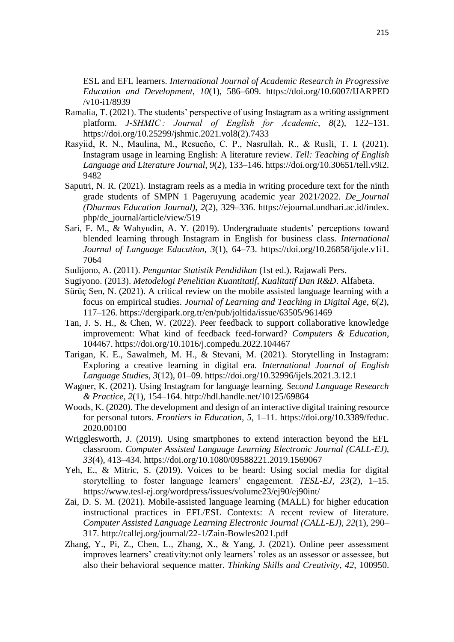ESL and EFL learners. *International Journal of Academic Research in Progressive Education and Development*, *10*(1), 586–609. https://doi.org/10.6007/IJARPED /v10-i1/8939

- Ramalia, T. (2021). The students' perspective of using Instagram as a writing assignment platform. *J-SHMIC : Journal of English for Academic*, *8*(2), 122–131. https://doi.org/10.25299/jshmic.2021.vol8(2).7433
- Rasyiid, R. N., Maulina, M., Resueňo, C. P., Nasrullah, R., & Rusli, T. I. (2021). Instagram usage in learning English: A literature review. *Tell: Teaching of English Language and Literature Journal*, *9*(2), 133–146. https://doi.org/10.30651/tell.v9i2. 9482
- Saputri, N. R. (2021). Instagram reels as a media in writing procedure text for the ninth grade students of SMPN 1 Pageruyung academic year 2021/2022. *De\_Journal (Dharmas Education Journal)*, *2*(2), 329–336. https://ejournal.undhari.ac.id/index. php/de\_journal/article/view/519
- Sari, F. M., & Wahyudin, A. Y. (2019). Undergraduate students' perceptions toward blended learning through Instagram in English for business class. *International Journal of Language Education*, *3*(1), 64–73. https://doi.org/10.26858/ijole.v1i1. 7064
- Sudijono, A. (2011). *Pengantar Statistik Pendidikan* (1st ed.). Rajawali Pers.
- Sugiyono. (2013). *Metodelogi Penelitian Kuantitatif, Kualitatif Dan R&D*. Alfabeta.
- Sürüç Sen, N. (2021). A critical review on the mobile assisted language learning with a focus on empirical studies. *Journal of Learning and Teaching in Digital Age*, *6*(2), 117–126. https://dergipark.org.tr/en/pub/joltida/issue/63505/961469
- Tan, J. S. H., & Chen, W. (2022). Peer feedback to support collaborative knowledge improvement: What kind of feedback feed-forward? *Computers & Education*, 104467. https://doi.org/10.1016/j.compedu.2022.104467
- Tarigan, K. E., Sawalmeh, M. H., & Stevani, M. (2021). Storytelling in Instagram: Exploring a creative learning in digital era. *International Journal of English Language Studies*, *3*(12), 01–09. https://doi.org/10.32996/ijels.2021.3.12.1
- Wagner, K. (2021). Using Instagram for language learning. *Second Language Research & Practice*, *2*(1), 154–164. http://hdl.handle.net/10125/69864
- Woods, K. (2020). The development and design of an interactive digital training resource for personal tutors. *Frontiers in Education*, *5*, 1–11. https://doi.org/10.3389/feduc. 2020.00100
- Wrigglesworth, J. (2019). Using smartphones to extend interaction beyond the EFL classroom. *Computer Assisted Language Learning Electronic Journal (CALL-EJ)*, *33*(4), 413–434. https://doi.org/10.1080/09588221.2019.1569067
- Yeh, E., & Mitric, S. (2019). Voices to be heard: Using social media for digital storytelling to foster language learners' engagement. *TESL-EJ*, *23*(2), 1–15. https://www.tesl-ej.org/wordpress/issues/volume23/ej90/ej90int/
- Zai, D. S. M. (2021). Mobile-assisted language learning (MALL) for higher education instructional practices in EFL/ESL Contexts: A recent review of literature. *Computer Assisted Language Learning Electronic Journal (CALL-EJ)*, *22*(1), 290– 317. http://callej.org/journal/22-1/Zain-Bowles2021.pdf
- Zhang, Y., Pi, Z., Chen, L., Zhang, X., & Yang, J. (2021). Online peer assessment improves learners' creativity:not only learners' roles as an assessor or assessee, but also their behavioral sequence matter. *Thinking Skills and Creativity*, *42*, 100950.